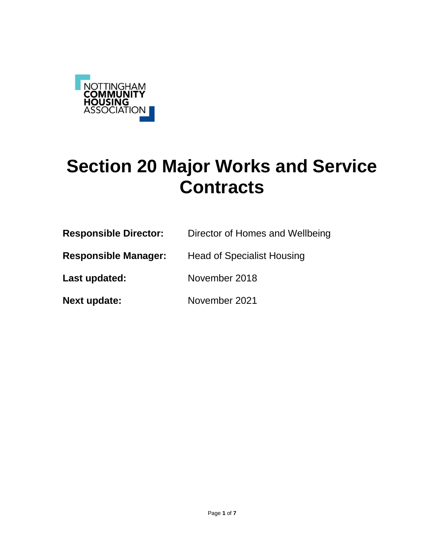

# **Section 20 Major Works and Service Contracts**

| <b>Responsible Director:</b> | Director of Homes and Wellbeing   |  |  |  |  |
|------------------------------|-----------------------------------|--|--|--|--|
| <b>Responsible Manager:</b>  | <b>Head of Specialist Housing</b> |  |  |  |  |
| Last updated:                | November 2018                     |  |  |  |  |
| <b>Next update:</b>          | November 2021                     |  |  |  |  |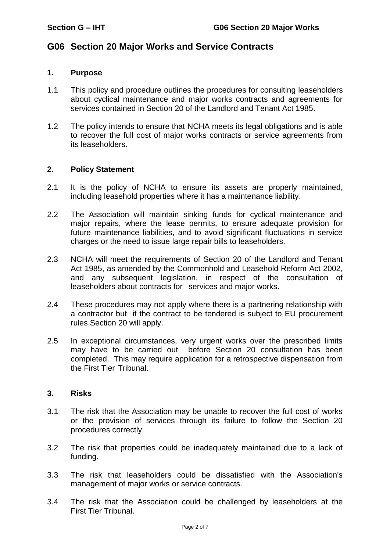# **G06 Section 20 Major Works and Service Contracts**

#### **1. Purpose**

- 1.1 This policy and procedure outlines the procedures for consulting leaseholders about cyclical maintenance and major works contracts and agreements for services contained in Section 20 of the Landlord and Tenant Act 1985.
- 1.2 The policy intends to ensure that NCHA meets its legal obligations and is able to recover the full cost of major works contracts or service agreements from its leaseholders.

### **2. Policy Statement**

- 2.1 It is the policy of NCHA to ensure its assets are properly maintained, including leasehold properties where it has a maintenance liability.
- 2.2 The Association will maintain sinking funds for cyclical maintenance and major repairs, where the lease permits, to ensure adequate provision for future maintenance liabilities, and to avoid significant fluctuations in service charges or the need to issue large repair bills to leaseholders.
- 2.3 NCHA will meet the requirements of Section 20 of the Landlord and Tenant Act 1985, as amended by the Commonhold and Leasehold Reform Act 2002, and any subsequent legislation, in respect of the consultation of leaseholders about contracts for services and major works.
- 2.4 These procedures may not apply where there is a partnering relationship with a contractor but if the contract to be tendered is subject to EU procurement rules Section 20 will apply.
- 2.5 In exceptional circumstances, very urgent works over the prescribed limits may have to be carried out before Section 20 consultation has been completed. This may require application for a retrospective dispensation from the First Tier Tribunal.

#### **3. Risks**

- 3.1 The risk that the Association may be unable to recover the full cost of works or the provision of services through its failure to follow the Section 20 procedures correctly.
- 3.2 The risk that properties could be inadequately maintained due to a lack of funding.
- 3.3 The risk that leaseholders could be dissatisfied with the Association's management of major works or service contracts.
- 3.4 The risk that the Association could be challenged by leaseholders at the First Tier Tribunal.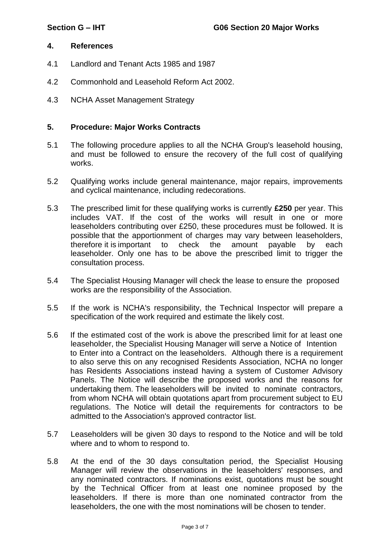#### **4. References**

- 4.1 Landlord and Tenant Acts 1985 and 1987
- 4.2 Commonhold and Leasehold Reform Act 2002.
- 4.3 NCHA Asset Management Strategy

#### **5. Procedure: Major Works Contracts**

- 5.1 The following procedure applies to all the NCHA Group's leasehold housing, and must be followed to ensure the recovery of the full cost of qualifying works.
- 5.2 Qualifying works include general maintenance, major repairs, improvements and cyclical maintenance, including redecorations.
- 5.3 The prescribed limit for these qualifying works is currently **£250** per year. This includes VAT. If the cost of the works will result in one or more leaseholders contributing over £250, these procedures must be followed. It is possible that the apportionment of charges may vary between leaseholders, therefore it is important to check the amount payable by each leaseholder. Only one has to be above the prescribed limit to trigger the consultation process.
- 5.4 The Specialist Housing Manager will check the lease to ensure the proposed works are the responsibility of the Association.
- 5.5 If the work is NCHA's responsibility, the Technical Inspector will prepare a specification of the work required and estimate the likely cost.
- 5.6 If the estimated cost of the work is above the prescribed limit for at least one leaseholder, the Specialist Housing Manager will serve a Notice of Intention to Enter into a Contract on the leaseholders. Although there is a requirement to also serve this on any recognised Residents Association, NCHA no longer has Residents Associations instead having a system of Customer Advisory Panels. The Notice will describe the proposed works and the reasons for undertaking them. The leaseholders will be invited to nominate contractors, from whom NCHA will obtain quotations apart from procurement subject to EU regulations. The Notice will detail the requirements for contractors to be admitted to the Association's approved contractor list.
- 5.7 Leaseholders will be given 30 days to respond to the Notice and will be told where and to whom to respond to.
- 5.8 At the end of the 30 days consultation period, the Specialist Housing Manager will review the observations in the leaseholders' responses, and any nominated contractors. If nominations exist, quotations must be sought by the Technical Officer from at least one nominee proposed by the leaseholders. If there is more than one nominated contractor from the leaseholders, the one with the most nominations will be chosen to tender.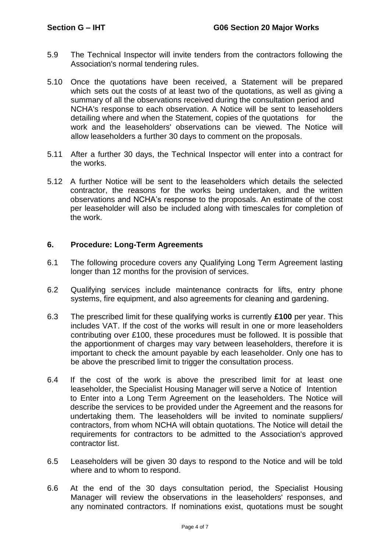- 5.9 The Technical Inspector will invite tenders from the contractors following the Association's normal tendering rules.
- 5.10 Once the quotations have been received, a Statement will be prepared which sets out the costs of at least two of the quotations, as well as giving a summary of all the observations received during the consultation period and NCHA's response to each observation. A Notice will be sent to leaseholders detailing where and when the Statement, copies of the quotations for the work and the leaseholders' observations can be viewed. The Notice will allow leaseholders a further 30 days to comment on the proposals.
- 5.11 After a further 30 days, the Technical Inspector will enter into a contract for the works.
- 5.12 A further Notice will be sent to the leaseholders which details the selected contractor, the reasons for the works being undertaken, and the written observations and NCHA's response to the proposals. An estimate of the cost per leaseholder will also be included along with timescales for completion of the work.

### **6. Procedure: Long-Term Agreements**

- 6.1 The following procedure covers any Qualifying Long Term Agreement lasting longer than 12 months for the provision of services.
- 6.2 Qualifying services include maintenance contracts for lifts, entry phone systems, fire equipment, and also agreements for cleaning and gardening.
- 6.3 The prescribed limit for these qualifying works is currently **£100** per year. This includes VAT. If the cost of the works will result in one or more leaseholders contributing over £100, these procedures must be followed. It is possible that the apportionment of charges may vary between leaseholders, therefore it is important to check the amount payable by each leaseholder. Only one has to be above the prescribed limit to trigger the consultation process.
- 6.4 If the cost of the work is above the prescribed limit for at least one leaseholder, the Specialist Housing Manager will serve a Notice of Intention to Enter into a Long Term Agreement on the leaseholders. The Notice will describe the services to be provided under the Agreement and the reasons for undertaking them. The leaseholders will be invited to nominate suppliers/ contractors, from whom NCHA will obtain quotations. The Notice will detail the requirements for contractors to be admitted to the Association's approved contractor list.
- 6.5 Leaseholders will be given 30 days to respond to the Notice and will be told where and to whom to respond.
- 6.6 At the end of the 30 days consultation period, the Specialist Housing Manager will review the observations in the leaseholders' responses, and any nominated contractors. If nominations exist, quotations must be sought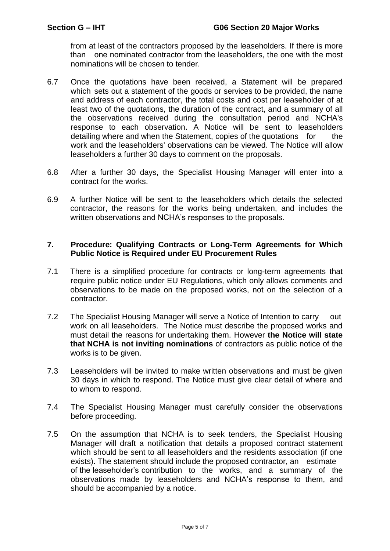from at least of the contractors proposed by the leaseholders. If there is more than one nominated contractor from the leaseholders, the one with the most nominations will be chosen to tender.

- 6.7 Once the quotations have been received, a Statement will be prepared which sets out a statement of the goods or services to be provided, the name and address of each contractor, the total costs and cost per leaseholder of at least two of the quotations, the duration of the contract, and a summary of all the observations received during the consultation period and NCHA's response to each observation. A Notice will be sent to leaseholders detailing where and when the Statement, copies of the quotations for the work and the leaseholders' observations can be viewed. The Notice will allow leaseholders a further 30 days to comment on the proposals.
- 6.8 After a further 30 days, the Specialist Housing Manager will enter into a contract for the works.
- 6.9 A further Notice will be sent to the leaseholders which details the selected contractor, the reasons for the works being undertaken, and includes the written observations and NCHA's responses to the proposals.

### **7. Procedure: Qualifying Contracts or Long-Term Agreements for Which Public Notice is Required under EU Procurement Rules**

- 7.1 There is a simplified procedure for contracts or long-term agreements that require public notice under EU Regulations, which only allows comments and observations to be made on the proposed works, not on the selection of a contractor.
- 7.2 The Specialist Housing Manager will serve a Notice of Intention to carry out work on all leaseholders. The Notice must describe the proposed works and must detail the reasons for undertaking them. However **the Notice will state that NCHA is not inviting nominations** of contractors as public notice of the works is to be given.
- 7.3 Leaseholders will be invited to make written observations and must be given 30 days in which to respond. The Notice must give clear detail of where and to whom to respond.
- 7.4 The Specialist Housing Manager must carefully consider the observations before proceeding.
- 7.5 On the assumption that NCHA is to seek tenders, the Specialist Housing Manager will draft a notification that details a proposed contract statement which should be sent to all leaseholders and the residents association (if one exists). The statement should include the proposed contractor, an estimate of the leaseholder's contribution to the works, and a summary of the observations made by leaseholders and NCHA's response to them, and should be accompanied by a notice.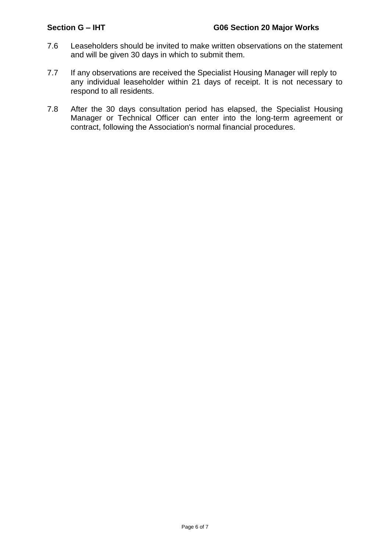- 7.6 Leaseholders should be invited to make written observations on the statement and will be given 30 days in which to submit them.
- 7.7 If any observations are received the Specialist Housing Manager will reply to any individual leaseholder within 21 days of receipt. It is not necessary to respond to all residents.
- 7.8 After the 30 days consultation period has elapsed, the Specialist Housing Manager or Technical Officer can enter into the long-term agreement or contract, following the Association's normal financial procedures.